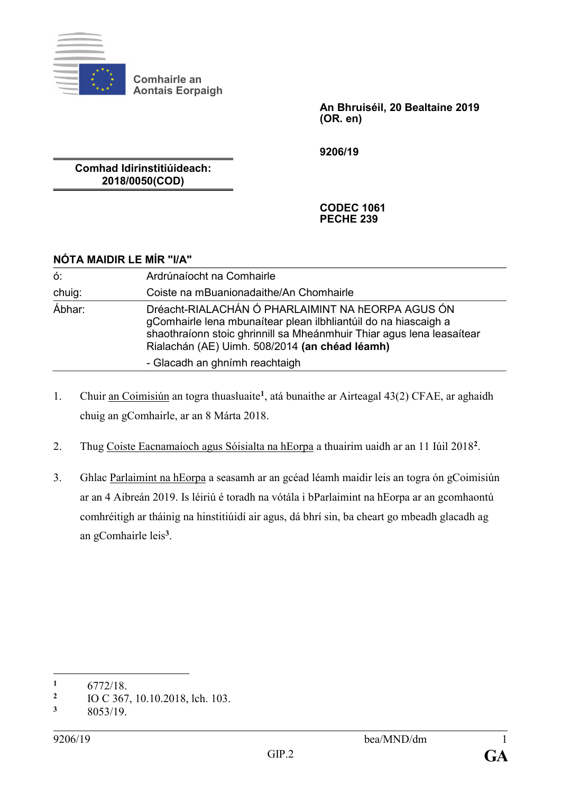

**Comhairle an Aontais Eorpaigh**

> **An Bhruiséil, 20 Bealtaine 2019 (OR. en)**

**9206/19**

**Comhad Idirinstitiúideach: 2018/0050(COD)**

> **CODEC 1061 PECHE 239**

| NÓTA MAIDIR LE MÍR "I/A" |                                                                                                                                                                                                                                                                                   |
|--------------------------|-----------------------------------------------------------------------------------------------------------------------------------------------------------------------------------------------------------------------------------------------------------------------------------|
| ó:                       | Ardrúnaíocht na Comhairle                                                                                                                                                                                                                                                         |
| chuig:                   | Coiste na mBuanionadaithe/An Chomhairle                                                                                                                                                                                                                                           |
| Ábhar:                   | Dréacht-RIALACHÁN Ó PHARLAIMINT NA hEORPA AGUS ÓN<br>gComhairle lena mbunaítear plean ilbhliantúil do na hiascaigh a<br>shaothraíonn stoic ghrinnill sa Mheánmhuir Thiar agus lena leasaítear<br>Rialachán (AE) Uimh. 508/2014 (an chéad léamh)<br>- Glacadh an ghnímh reachtaigh |

- 1. Chuir an Coimisiún an togra thuasluaite<sup>1</sup>, atá bunaithe ar Airteagal 43(2) CFAE, ar aghaidh chuig an gComhairle, ar an 8 Márta 2018.
- 2. Thug Coiste Eacnamaíoch agus Sóisialta na hEorpa a thuairim uaidh ar an 11 Iúil 2018**<sup>2</sup>** .
- 3. Ghlac Parlaimint na hEorpa a seasamh ar an gcéad léamh maidir leis an togra ón gCoimisiún ar an 4 Aibreán 2019. Is léiriú é toradh na vótála i bParlaimint na hEorpa ar an gcomhaontú comhréitigh ar tháinig na hinstitiúidí air agus, dá bhrí sin, ba cheart go mbeadh glacadh ag an gComhairle leis**<sup>3</sup>** .

<sup>&</sup>lt;u>.</u> **<sup>1</sup>** 6772/18.

**<sup>2</sup>** IO C 367, 10.10.2018, lch. 103.

**<sup>3</sup>** 8053/19.